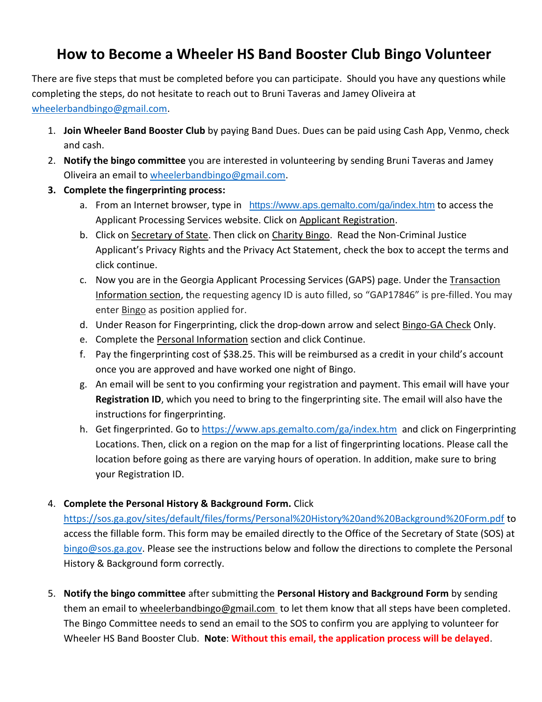## **How to Become a Wheeler HS Band Booster Club Bingo Volunteer**

There are five steps that must be completed before you can participate. Should you have any questions while completing the steps, do not hesitate to reach out to Bruni Taveras and Jamey Oliveira at [wheelerbandbingo@gmail.com.](mailto:wheelerbandbingo@gmail.com)

- 1. **Join Wheeler Band Booster Club** by paying Band Dues. Dues can be paid using Cash App, Venmo, check and cash.
- 2. **Notify the bingo committee** you are interested in volunteering by sending Bruni Taveras and Jamey Oliveira an email to [wheelerbandbingo@gmail.com.](mailto:wheelerbandbingo@gmail.com)
- **3. Complete the fingerprinting process:**
	- a. From an Internet browser, type in <https://www.aps.gemalto.com/ga/index.htm> to access the Applicant Processing Services website. Click on Applicant Registration.
	- b. Click on Secretary of State. Then click on Charity Bingo. Read the Non-Criminal Justice Applicant's Privacy Rights and the Privacy Act Statement, check the box to accept the terms and click continue.
	- c. Now you are in the Georgia Applicant Processing Services (GAPS) page. Under the Transaction Information section, the requesting agency ID is auto filled, so "GAP17846" is pre-filled. You may enter **Bingo** as position applied for.
	- d. Under Reason for Fingerprinting, click the drop-down arrow and select Bingo-GA Check Only.
	- e. Complete the Personal Information section and click Continue.
	- f. Pay the fingerprinting cost of \$38.25. This will be reimbursed as a credit in your child's account once you are approved and have worked one night of Bingo.
	- g. An email will be sent to you confirming your registration and payment. This email will have your **Registration ID**, which you need to bring to the fingerprinting site. The email will also have the instructions for fingerprinting.
	- h. Get fingerprinted. Go to<https://www.aps.gemalto.com/ga/index.htm>and click on Fingerprinting Locations. Then, click on a region on the map for a list of fingerprinting locations. Please call the location before going as there are varying hours of operation. In addition, make sure to bring your Registration ID.
- 4. **Complete the Personal History & Background Form.** Click

<https://sos.ga.gov/sites/default/files/forms/Personal%20History%20and%20Background%20Form.pdf> to access the fillable form. This form may be emailed directly to the Office of the Secretary of State (SOS) at [bingo@sos.ga.gov.](mailto:bingo@sos.ga.gov) Please see the instructions below and follow the directions to complete the Personal History & Background form correctly.

5. **Notify the bingo committee** after submitting the **Personal History and Background Form** by sending them an email to [wheelerbandbingo@gmail.com](mailto:wheelerbandbingo@gmail.com) to let them know that all steps have been completed. The Bingo Committee needs to send an email to the SOS to confirm you are applying to volunteer for Wheeler HS Band Booster Club. **Note**: **Without this email, the application process will be delayed**.